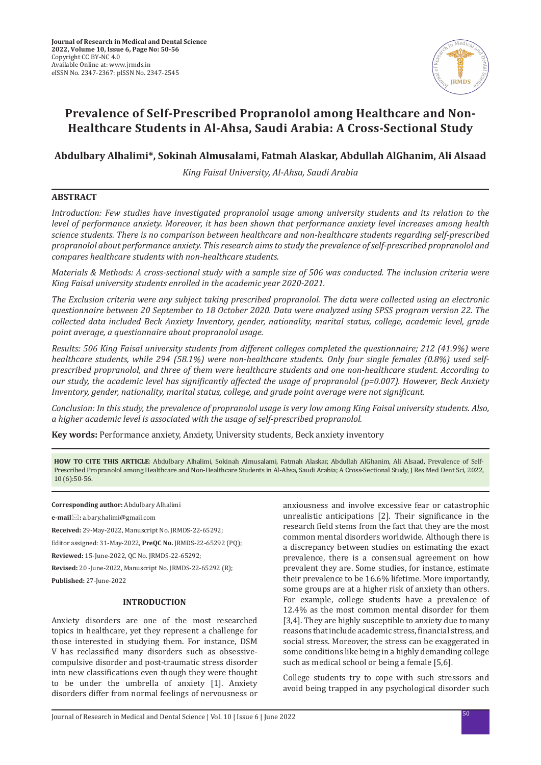

# **Prevalence of Self-Prescribed Propranolol among Healthcare and Non-Healthcare Students in Al-Ahsa, Saudi Arabia: A Cross-Sectional Study**

# **Abdulbary Alhalimi\*, Sokinah Almusalami, Fatmah Alaskar, Abdullah AlGhanim, Ali Alsaad**

*King Faisal University, Al-Ahsa, Saudi Arabia*

## **ABSTRACT**

*Introduction: Few studies have investigated propranolol usage among university students and its relation to the level of performance anxiety. Moreover, it has been shown that performance anxiety level increases among health science students. There is no comparison between healthcare and non-healthcare students regarding self-prescribed propranolol about performance anxiety. This research aims to study the prevalence of self-prescribed propranolol and compares healthcare students with non-healthcare students.* 

*Materials & Methods: A cross-sectional study with a sample size of 506 was conducted. The inclusion criteria were King Faisal university students enrolled in the academic year 2020-2021.*

*The Exclusion criteria were any subject taking prescribed propranolol. The data were collected using an electronic questionnaire between 20 September to 18 October 2020. Data were analyzed using SPSS program version 22. The collected data included Beck Anxiety Inventory, gender, nationality, marital status, college, academic level, grade point average, a questionnaire about propranolol usage.*

*Results: 506 King Faisal university students from different colleges completed the questionnaire; 212 (41.9%) were healthcare students, while 294 (58.1%) were non-healthcare students. Only four single females (0.8%) used selfprescribed propranolol, and three of them were healthcare students and one non-healthcare student. According to our study, the academic level has significantly affected the usage of propranolol (p=0.007). However, Beck Anxiety Inventory, gender, nationality, marital status, college, and grade point average were not significant.*

*Conclusion: In this study, the prevalence of propranolol usage is very low among King Faisal university students. Also, a higher academic level is associated with the usage of self-prescribed propranolol.*

**Key words:** Performance anxiety, Anxiety, University students, Beck anxiety inventory

**HOW TO CITE THIS ARTICLE**: Abdulbary Alhalimi, Sokinah Almusalami, Fatmah Alaskar, Abdullah AlGhanim, Ali Alsaad, Prevalence of Self-Prescribed Propranolol among Healthcare and Non-Healthcare Students in Al-Ahsa, Saudi Arabia; A Cross-Sectional Study, J Res Med Dent Sci, 2022, 10 (6):50-56.

**Corresponding author:** Abdulbary Alhalimi

**e-mail:** a.bary.halimi@gmail.com

**Received:** 29-May-2022, Manuscript No. JRMDS-22-65292;

Editor assigned: 31-May-2022, **PreQC No.** JRMDS-22-65292 (PQ);

**Reviewed:** 15-June-2022, QC No. JRMDS-22-65292;

**Revised:** 20 -June-2022, Manuscript No. JRMDS-22-65292 (R);

**Published:** 27-June-2022

## **INTRODUCTION**

Anxiety disorders are one of the most researched topics in healthcare, yet they represent a challenge for those interested in studying them. For instance, DSM V has reclassified many disorders such as obsessivecompulsive disorder and post-traumatic stress disorder into new classifications even though they were thought to be under the umbrella of anxiety [1]. Anxiety disorders differ from normal feelings of nervousness or anxiousness and involve excessive fear or catastrophic unrealistic anticipations [2]. Their significance in the research field stems from the fact that they are the most common mental disorders worldwide. Although there is a discrepancy between studies on estimating the exact prevalence, there is a consensual agreement on how prevalent they are. Some studies, for instance, estimate their prevalence to be 16.6% lifetime. More importantly, some groups are at a higher risk of anxiety than others. For example, college students have a prevalence of 12.4% as the most common mental disorder for them [3,4]. They are highly susceptible to anxiety due to many reasons that include academic stress, financial stress, and social stress. Moreover, the stress can be exaggerated in some conditions like being in a highly demanding college such as medical school or being a female [5,6].

College students try to cope with such stressors and avoid being trapped in any psychological disorder such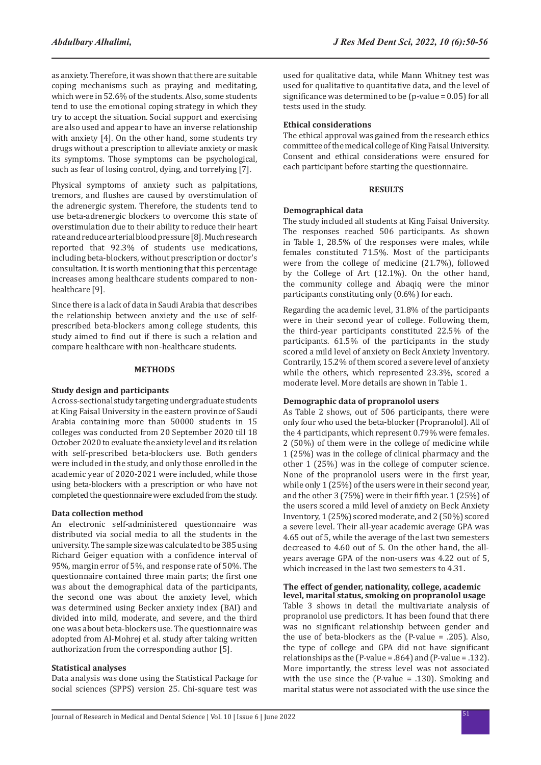as anxiety. Therefore, it was shown that there are suitable coping mechanisms such as praying and meditating, which were in 52.6% of the students. Also, some students tend to use the emotional coping strategy in which they try to accept the situation. Social support and exercising are also used and appear to have an inverse relationship with anxiety [4]. On the other hand, some students try drugs without a prescription to alleviate anxiety or mask its symptoms. Those symptoms can be psychological, such as fear of losing control, dying, and torrefying [7].

Physical symptoms of anxiety such as palpitations, tremors, and flushes are caused by overstimulation of the adrenergic system. Therefore, the students tend to use beta-adrenergic blockers to overcome this state of overstimulation due to their ability to reduce their heart rate and reduce arterial blood pressure [8]. Much research reported that 92.3% of students use medications, including beta-blockers, without prescription or doctor's consultation. It is worth mentioning that this percentage increases among healthcare students compared to nonhealthcare [9].

Since there is a lack of data in Saudi Arabia that describes the relationship between anxiety and the use of selfprescribed beta-blockers among college students, this study aimed to find out if there is such a relation and compare healthcare with non-healthcare students.

#### **METHODS**

#### **Study design and participants**

A cross-sectional study targeting undergraduate students at King Faisal University in the eastern province of Saudi Arabia containing more than 50000 students in 15 colleges was conducted from 20 September 2020 till 18 October 2020 to evaluate the anxiety level and its relation with self-prescribed beta-blockers use. Both genders were included in the study, and only those enrolled in the academic year of 2020-2021 were included, while those using beta-blockers with a prescription or who have not completed the questionnaire were excluded from the study.

### **Data collection method**

An electronic self-administered questionnaire was distributed via social media to all the students in the university. The sample size was calculated to be 385 using Richard Geiger equation with a confidence interval of 95%, margin error of 5%, and response rate of 50%. The questionnaire contained three main parts; the first one was about the demographical data of the participants, the second one was about the anxiety level, which was determined using Becker anxiety index (BAI) and divided into mild, moderate, and severe, and the third one was about beta-blockers use. The questionnaire was adopted from Al-Mohrej et al. study after taking written authorization from the corresponding author [5].

#### **Statistical analyses**

Data analysis was done using the Statistical Package for social sciences (SPPS) version 25. Chi-square test was

used for qualitative data, while Mann Whitney test was used for qualitative to quantitative data, and the level of significance was determined to be (p-value = 0.05) for all tests used in the study.

## **Ethical considerations**

The ethical approval was gained from the research ethics committee of the medical college of King Faisal University. Consent and ethical considerations were ensured for each participant before starting the questionnaire.

#### **RESULTS**

#### **Demographical data**

The study included all students at King Faisal University. The responses reached 506 participants. As shown in Table 1, 28.5% of the responses were males, while females constituted 71.5%. Most of the participants were from the college of medicine (21.7%), followed by the College of Art (12.1%). On the other hand, the community college and Abaqiq were the minor participants constituting only (0.6%) for each.

Regarding the academic level, 31.8% of the participants were in their second year of college. Following them, the third-year participants constituted 22.5% of the participants. 61.5% of the participants in the study scored a mild level of anxiety on Beck Anxiety Inventory. Contrarily, 15.2% of them scored a severe level of anxiety while the others, which represented 23.3%, scored a moderate level. More details are shown in Table 1.

#### **Demographic data of propranolol users**

As Table 2 shows, out of 506 participants, there were only four who used the beta-blocker (Propranolol). All of the 4 participants, which represent 0.79% were females. 2 (50%) of them were in the college of medicine while 1 (25%) was in the college of clinical pharmacy and the other 1 (25%) was in the college of computer science. None of the propranolol users were in the first year, while only 1 (25%) of the users were in their second year, and the other 3 (75%) were in their fifth year. 1 (25%) of the users scored a mild level of anxiety on Beck Anxiety Inventory, 1 (25%) scored moderate, and 2 (50%) scored a severe level. Their all-year academic average GPA was 4.65 out of 5, while the average of the last two semesters decreased to 4.60 out of 5. On the other hand, the allyears average GPA of the non-users was 4.22 out of 5, which increased in the last two semesters to 4.31.

#### **The effect of gender, nationality, college, academic level, marital status, smoking on propranolol usage**

Table 3 shows in detail the multivariate analysis of propranolol use predictors. It has been found that there was no significant relationship between gender and the use of beta-blockers as the (P-value = .205). Also, the type of college and GPA did not have significant relationships as the (P-value = .864) and (P-value = .132). More importantly, the stress level was not associated with the use since the (P-value = .130). Smoking and marital status were not associated with the use since the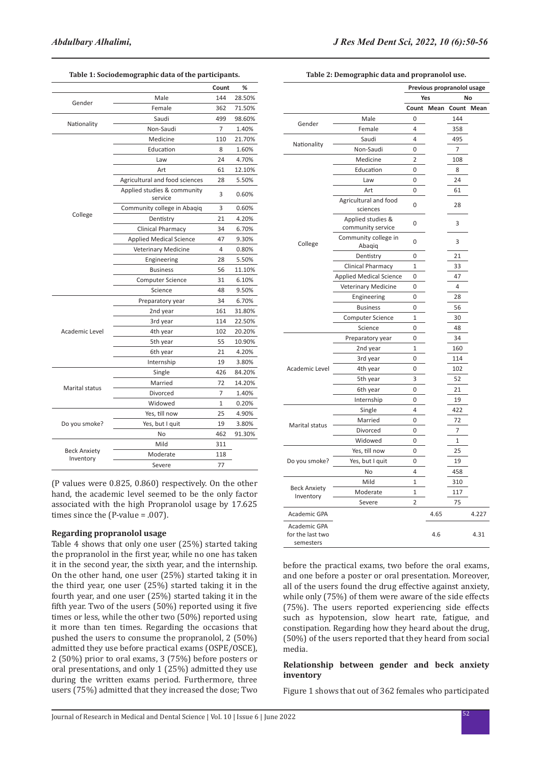|                                  |                                        | Count | %      |
|----------------------------------|----------------------------------------|-------|--------|
|                                  | Male                                   | 144   | 28.50% |
| Gender                           | Female                                 | 362   | 71.50% |
| Nationality                      | Saudi                                  | 499   | 98.60% |
|                                  | Non-Saudi                              | 7     | 1.40%  |
|                                  | Medicine                               | 110   | 21.70% |
|                                  | Education                              | 8     | 1.60%  |
|                                  | Law                                    | 24    | 4.70%  |
|                                  | Art                                    | 61    | 12.10% |
|                                  | Agricultural and food sciences         | 28    | 5.50%  |
|                                  | Applied studies & community<br>service | 3     | 0.60%  |
|                                  | Community college in Abaqiq            | 3     | 0.60%  |
| College                          | Dentistry                              | 21    | 4.20%  |
|                                  | <b>Clinical Pharmacy</b>               | 34    | 6.70%  |
|                                  | <b>Applied Medical Science</b>         | 47    | 9.30%  |
|                                  | <b>Veterinary Medicine</b>             | 4     | 0.80%  |
|                                  | Engineering                            | 28    | 5.50%  |
|                                  | <b>Business</b>                        | 56    | 11.10% |
|                                  | <b>Computer Science</b>                | 31    | 6.10%  |
|                                  | Science                                | 48    | 9.50%  |
|                                  | Preparatory year                       | 34    | 6.70%  |
|                                  | 2nd year                               | 161   | 31.80% |
|                                  | 3rd year                               | 114   | 22.50% |
| Academic Level                   | 4th year                               | 102   | 20.20% |
|                                  | 5th year                               | 55    | 10.90% |
|                                  | 6th year                               | 21    | 4.20%  |
|                                  | Internship                             | 19    | 3.80%  |
|                                  | Single                                 | 426   | 84.20% |
|                                  | Married                                | 72    | 14.20% |
| Marital status                   | Divorced                               | 7     | 1.40%  |
|                                  | Widowed                                | 1     | 0.20%  |
|                                  | Yes, till now                          | 25    | 4.90%  |
| Do you smoke?                    | Yes, but I quit                        | 19    | 3.80%  |
|                                  | No                                     | 462   | 91.30% |
|                                  | Mild                                   | 311   |        |
| <b>Beck Anxiety</b><br>Inventory | Moderate                               | 118   |        |
|                                  | Severe                                 | 77    |        |

**Table 1: Sociodemographic data of the participants.**

**Table 2: Demographic data and propranolol use.**

|                                               |                                        | Previous propranolol usage |            |                |            |
|-----------------------------------------------|----------------------------------------|----------------------------|------------|----------------|------------|
|                                               |                                        | No<br>Yes                  |            |                |            |
|                                               |                                        |                            | Count Mean |                | Count Mean |
| Gender                                        | Male                                   | 0                          |            | 144            |            |
|                                               | Female                                 | 4                          |            | 358            |            |
|                                               | Saudi                                  | 4                          |            | 495            |            |
| Nationality                                   | Non-Saudi                              | 0                          |            | $\overline{7}$ |            |
|                                               | Medicine                               | $\overline{2}$             |            | 108            |            |
|                                               | Education                              | 0                          |            | 8              |            |
|                                               | Law                                    | 0                          |            | 24             |            |
|                                               | Art                                    | 0                          |            | 61             |            |
|                                               | Agricultural and food<br>sciences      | 0                          |            | 28             |            |
| College                                       | Applied studies &<br>community service | 0                          |            | 3              |            |
|                                               | Community college in<br>Abaqiq         | 0                          |            | 3              |            |
|                                               | Dentistry                              | 0                          |            | 21             |            |
|                                               | Clinical Pharmacy                      | 1                          |            | 33             |            |
|                                               | <b>Applied Medical Science</b>         | 0                          |            | 47             |            |
|                                               | Veterinary Medicine                    | 0                          |            | 4              |            |
|                                               | Engineering                            | 0                          |            | 28             |            |
|                                               | <b>Business</b>                        | 0                          |            | 56             |            |
|                                               | <b>Computer Science</b>                | 1                          |            | 30             |            |
|                                               | Science                                | 0                          |            | 48             |            |
|                                               | Preparatory year                       | 0                          |            | 34             |            |
|                                               | 2nd year                               | $\mathbf{1}$               |            | 160            |            |
|                                               | 3rd year                               | 0                          |            | 114            |            |
| Academic Level                                | 4th year                               | 0                          |            | 102            |            |
|                                               | 5th year                               | 3                          |            | 52             |            |
|                                               | 6th year                               | 0                          |            | 21             |            |
|                                               | Internship                             | 0                          |            | 19             |            |
|                                               | Single                                 | 4                          |            | 422            |            |
| Marital status                                | Married                                | 0                          |            | 72             |            |
|                                               | Divorced                               | $\Omega$                   |            | 7              |            |
|                                               | Widowed                                | 0                          |            | $\mathbf{1}$   |            |
|                                               | Yes, till now                          | 0                          |            | 25             |            |
| Do you smoke?                                 | Yes, but I quit                        | 0                          |            | 19             |            |
|                                               | No                                     | $\overline{4}$             |            | 458            |            |
| <b>Beck Anxiety</b><br>Inventory              | Mild                                   | 1                          |            | 310            |            |
|                                               | Moderate                               | 1                          |            | 117            |            |
|                                               | Severe                                 | $\overline{2}$             |            | 75             |            |
| Academic GPA                                  |                                        |                            | 4.65       |                | 4.227      |
| Academic GPA<br>for the last two<br>semesters |                                        |                            | 4.6        |                | 4.31       |

hand, the academic level seemed to be the only factor associated with the high Propranolol usage by 17.625 times since the (P-value = .007).

(P values were 0.825, 0.860) respectively. On the other

## **Regarding propranolol usage**

Table 4 shows that only one user (25%) started taking the propranolol in the first year, while no one has taken it in the second year, the sixth year, and the internship. On the other hand, one user (25%) started taking it in the third year, one user (25%) started taking it in the fourth year, and one user (25%) started taking it in the fifth year. Two of the users (50%) reported using it five times or less, while the other two (50%) reported using it more than ten times. Regarding the occasions that pushed the users to consume the propranolol, 2 (50%) admitted they use before practical exams (OSPE/OSCE), 2 (50%) prior to oral exams, 3 (75%) before posters or oral presentations, and only 1 (25%) admitted they use during the written exams period. Furthermore, three users (75%) admitted that they increased the dose; Two

before the practical exams, two before the oral exams, and one before a poster or oral presentation. Moreover, all of the users found the drug effective against anxiety, while only (75%) of them were aware of the side effects (75%). The users reported experiencing side effects such as hypotension, slow heart rate, fatigue, and constipation. Regarding how they heard about the drug, (50%) of the users reported that they heard from social media.

## **Relationship between gender and beck anxiety inventory**

Figure 1 shows that out of 362 females who participated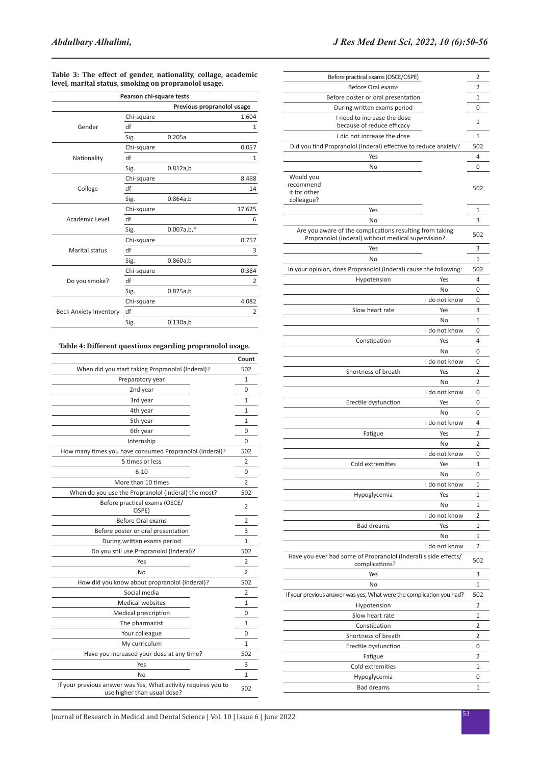| Table 3: The effect of gender, nationality, collage, academic |  |
|---------------------------------------------------------------|--|
| level, marital status, smoking on propranolol usage.          |  |

|                               | Pearson chi-square tests |                            |  |  |  |
|-------------------------------|--------------------------|----------------------------|--|--|--|
|                               |                          | Previous propranolol usage |  |  |  |
|                               | Chi-square               | 1.604                      |  |  |  |
| Gender                        | df                       | 1                          |  |  |  |
|                               | Sig.                     | 0.205a                     |  |  |  |
|                               | Chi-square               | 0.057                      |  |  |  |
| Nationality                   | df                       | $\mathbf{1}$               |  |  |  |
|                               | Sig.                     | 0.812a,b                   |  |  |  |
|                               | Chi-square               | 8.468                      |  |  |  |
| College                       | df                       | 14                         |  |  |  |
|                               | Sig.                     | 0.864a,b                   |  |  |  |
|                               | Chi-square               | 17.625                     |  |  |  |
| Academic Level                | df                       | 6                          |  |  |  |
|                               | Sig.                     | $0.007a,b,*$               |  |  |  |
|                               | Chi-square               | 0.757                      |  |  |  |
| Marital status                | df                       | 3                          |  |  |  |
|                               | Sig.                     | 0.860a,b                   |  |  |  |
|                               | Chi-square               | 0.384                      |  |  |  |
| Do you smoke?                 | df                       | 2                          |  |  |  |
|                               | Sig.                     | 0.825a,b                   |  |  |  |
|                               | Chi-square               | 4.082                      |  |  |  |
| <b>Beck Anxiety Inventory</b> | df                       | 2                          |  |  |  |
|                               | Sig.                     | 0.130a,b                   |  |  |  |

## **Table 4: Different questions regarding propranolol usage.**

|                                                                                               | Count          |
|-----------------------------------------------------------------------------------------------|----------------|
| When did you start taking Propranolol (Inderal)?                                              | 502            |
| Preparatory year                                                                              | 1              |
| 2nd year                                                                                      | 0              |
| 3rd year                                                                                      | $\mathbf{1}$   |
| 4th year                                                                                      | 1              |
| 5th year                                                                                      | 1              |
| 6th year                                                                                      | 0              |
| Internship                                                                                    | 0              |
| How many times you have consumed Propranolol (Inderal)?                                       | 502            |
| 5 times or less                                                                               | 2              |
| $6 - 10$                                                                                      | 0              |
| More than 10 times                                                                            | 2              |
| When do you use the Propranolol (Inderal) the most?                                           | 502            |
| Before practical exams (OSCE/<br>OSPE)                                                        | 2              |
| Before Oral exams                                                                             | 2              |
| Before poster or oral presentation                                                            | 3              |
| During written exams period                                                                   | 1              |
| Do you still use Propranolol (Inderal)?                                                       | 502            |
| Yes                                                                                           | 2              |
| No                                                                                            | $\overline{2}$ |
| How did you know about propranolol (Inderal)?                                                 | 502            |
| Social media                                                                                  | 2              |
| <b>Medical websites</b>                                                                       | 1              |
| Medical prescription                                                                          | 0              |
| The pharmacist                                                                                | 1              |
| Your colleague                                                                                | 0              |
| My curriculum                                                                                 | 1              |
| Have you increased your dose at any time?                                                     | 502            |
| Yes                                                                                           | 3              |
| No                                                                                            | 1              |
| If your previous answer was Yes, What activity requires you to<br>use higher than usual dose? | 502            |

| Before practical exams (OSCE/OSPE)                                                                             | 2   |
|----------------------------------------------------------------------------------------------------------------|-----|
| <b>Before Oral exams</b>                                                                                       | 2   |
|                                                                                                                |     |
| Before poster or oral presentation                                                                             | 1   |
| During written exams period                                                                                    | 0   |
| I need to increase the dose<br>because of reduce efficacy                                                      | 1   |
| I did not increase the dose                                                                                    | 1   |
| Did you find Propranolol (Inderal) effective to reduce anxiety?                                                | 502 |
| Yes                                                                                                            | 4   |
| No                                                                                                             | 0   |
| Would you<br>recommend<br>it for other<br>colleague?                                                           | 502 |
| Yes                                                                                                            | 1   |
| No                                                                                                             | 3   |
| Are you aware of the complications resulting from taking<br>Propranolol (Inderal) without medical supervision? | 502 |
| Yes                                                                                                            | 3   |
| No                                                                                                             | 1   |
| In your opinion, does Propranolol (Inderal) cause the following:                                               | 502 |
| Hypotension<br>Yes                                                                                             | 4   |
| No                                                                                                             | 0   |
| I do not know                                                                                                  |     |
|                                                                                                                | 0   |
| Slow heart rate<br>Yes                                                                                         | 3   |
| No                                                                                                             | 1   |
| I do not know                                                                                                  | 0   |
| Constipation<br>Yes                                                                                            | 4   |
| No                                                                                                             | 0   |
| I do not know                                                                                                  | 0   |
| Shortness of breath<br>Yes                                                                                     | 2   |
| No                                                                                                             | 2   |
| I do not know                                                                                                  | 0   |
| Erectile dysfunction<br>Yes                                                                                    | 0   |
| No                                                                                                             | 0   |
| I do not know                                                                                                  | 4   |
| Yes<br>Fatigue                                                                                                 | 2   |
| No                                                                                                             | 2   |
| I do not know                                                                                                  | 0   |
| Cold extremities<br>Yes                                                                                        | 3   |
| No                                                                                                             | 0   |
| I do not know                                                                                                  |     |
|                                                                                                                | 1   |
| Hypoglycemia<br>Yes                                                                                            | 1   |
| No                                                                                                             | 1   |
| I do not know                                                                                                  | 2   |
| <b>Bad dreams</b><br>Yes                                                                                       | 1   |
| No                                                                                                             | 1   |
| I do not know                                                                                                  | 2   |
| Have you ever had some of Propranolol (Inderal)'s side effects/<br>complications?                              | 502 |
| Yes                                                                                                            | 3   |
| No                                                                                                             | 1   |
| If your previous answer was yes, What were the complication you had?                                           | 502 |
| Hypotension                                                                                                    | 2   |
| Slow heart rate                                                                                                | 1   |
| Constipation                                                                                                   | 2   |
| Shortness of breath                                                                                            | 2   |
| Erectile dysfunction                                                                                           | 0   |
| Fatigue                                                                                                        | 2   |
| Cold extremities                                                                                               | 1   |
| Hypoglycemia                                                                                                   | 0   |
| <b>Bad dreams</b>                                                                                              | 1   |
|                                                                                                                |     |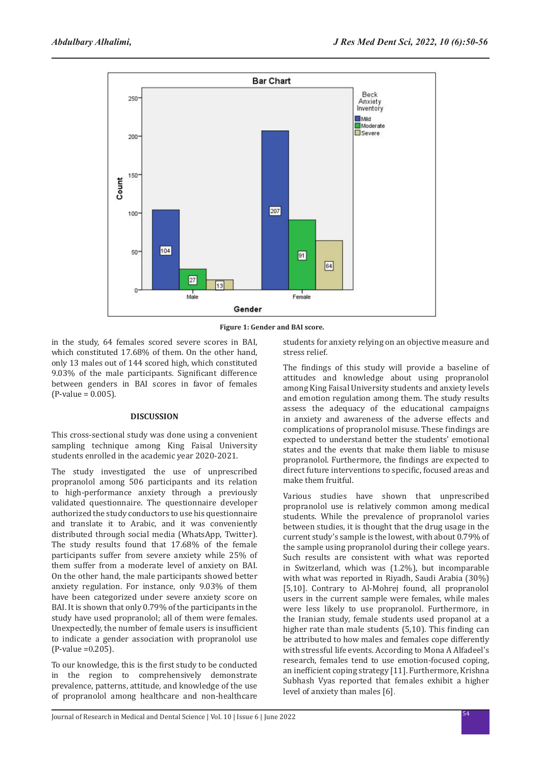

**Figure 1: Gender and BAI score.**

in the study, 64 females scored severe scores in BAI, which constituted 17.68% of them. On the other hand, only 13 males out of 144 scored high, which constituted 9.03% of the male participants. Significant difference between genders in BAI scores in favor of females (P-value = 0.005).

#### **DISCUSSION**

This cross-sectional study was done using a convenient sampling technique among King Faisal University students enrolled in the academic year 2020-2021.

The study investigated the use of unprescribed propranolol among 506 participants and its relation to high-performance anxiety through a previously validated questionnaire. The questionnaire developer authorized the study conductors to use his questionnaire and translate it to Arabic, and it was conveniently distributed through social media (WhatsApp, Twitter). The study results found that 17.68% of the female participants suffer from severe anxiety while 25% of them suffer from a moderate level of anxiety on BAI. On the other hand, the male participants showed better anxiety regulation. For instance, only 9.03% of them have been categorized under severe anxiety score on BAI. It is shown that only 0.79% of the participants in the study have used propranolol; all of them were females. Unexpectedly, the number of female users is insufficient to indicate a gender association with propranolol use (P-value =0.205).

To our knowledge, this is the first study to be conducted in the region to comprehensively demonstrate prevalence, patterns, attitude, and knowledge of the use of propranolol among healthcare and non-healthcare students for anxiety relying on an objective measure and stress relief.

The findings of this study will provide a baseline of attitudes and knowledge about using propranolol among King Faisal University students and anxiety levels and emotion regulation among them. The study results assess the adequacy of the educational campaigns in anxiety and awareness of the adverse effects and complications of propranolol misuse. These findings are expected to understand better the students' emotional states and the events that make them liable to misuse propranolol. Furthermore, the findings are expected to direct future interventions to specific, focused areas and make them fruitful.

Various studies have shown that unprescribed propranolol use is relatively common among medical students. While the prevalence of propranolol varies between studies, it is thought that the drug usage in the current study's sample is the lowest, with about 0.79% of the sample using propranolol during their college years. Such results are consistent with what was reported in Switzerland, which was (1.2%), but incomparable with what was reported in Riyadh, Saudi Arabia (30%) [5,10]. Contrary to Al-Mohrej found, all propranolol users in the current sample were females, while males were less likely to use propranolol. Furthermore, in the Iranian study, female students used propanol at a higher rate than male students (5,10). This finding can be attributed to how males and females cope differently with stressful life events. According to Mona A Alfadeel's research, females tend to use emotion-focused coping, an inefficient coping strategy [11]. Furthermore, Krishna Subhash Vyas reported that females exhibit a higher level of anxiety than males [6].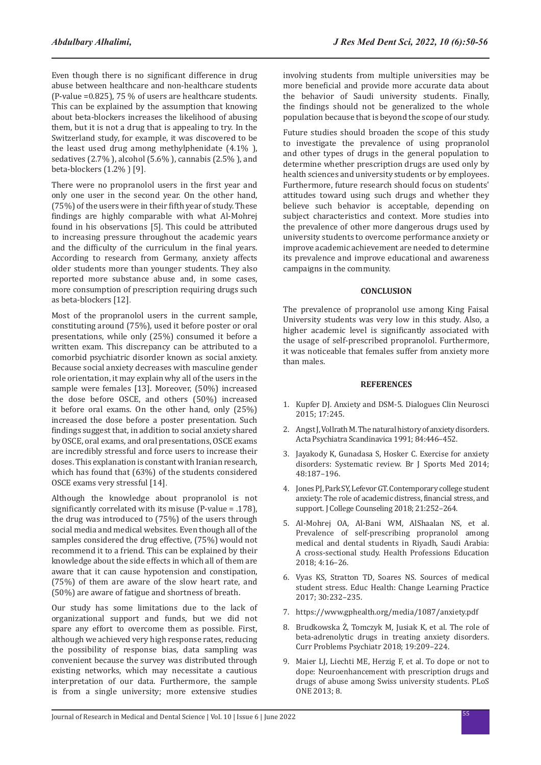Even though there is no significant difference in drug abuse between healthcare and non-healthcare students (P-value =0.825), 75 % of users are healthcare students. This can be explained by the assumption that knowing about beta-blockers increases the likelihood of abusing them, but it is not a drug that is appealing to try. In the Switzerland study, for example, it was discovered to be the least used drug among methylphenidate (4.1% ), sedatives (2.7% ), alcohol (5.6% ), cannabis (2.5% ), and beta-blockers (1.2% ) [9].

There were no propranolol users in the first year and only one user in the second year. On the other hand, (75%) of the users were in their fifth year of study. These findings are highly comparable with what Al-Mohrej found in his observations [5]. This could be attributed to increasing pressure throughout the academic years and the difficulty of the curriculum in the final years. According to research from Germany, anxiety affects older students more than younger students. They also reported more substance abuse and, in some cases, more consumption of prescription requiring drugs such as beta-blockers [12].

Most of the propranolol users in the current sample, constituting around (75%), used it before poster or oral presentations, while only (25%) consumed it before a written exam. This discrepancy can be attributed to a comorbid psychiatric disorder known as social anxiety. Because social anxiety decreases with masculine gender role orientation, it may explain why all of the users in the sample were females [13]. Moreover, (50%) increased the dose before OSCE, and others (50%) increased it before oral exams. On the other hand, only (25%) increased the dose before a poster presentation. Such findings suggest that, in addition to social anxiety shared by OSCE, oral exams, and oral presentations, OSCE exams are incredibly stressful and force users to increase their doses. This explanation is constant with Iranian research, which has found that (63%) of the students considered OSCE exams very stressful [14].

Although the knowledge about propranolol is not significantly correlated with its misuse (P-value = .178), the drug was introduced to (75%) of the users through social media and medical websites. Even though all of the samples considered the drug effective, (75%) would not recommend it to a friend. This can be explained by their knowledge about the side effects in which all of them are aware that it can cause hypotension and constipation, (75%) of them are aware of the slow heart rate, and (50%) are aware of fatigue and shortness of breath.

Our study has some limitations due to the lack of organizational support and funds, but we did not spare any effort to overcome them as possible. First, although we achieved very high response rates, reducing the possibility of response bias, data sampling was convenient because the survey was distributed through existing networks, which may necessitate a cautious interpretation of our data. Furthermore, the sample is from a single university; more extensive studies involving students from multiple universities may be more beneficial and provide more accurate data about the behavior of Saudi university students. Finally, the findings should not be generalized to the whole population because that is beyond the scope of our study.

Future studies should broaden the scope of this study to investigate the prevalence of using propranolol and other types of drugs in the general population to determine whether prescription drugs are used only by health sciences and university students or by employees. Furthermore, future research should focus on students' attitudes toward using such drugs and whether they believe such behavior is acceptable, depending on subject characteristics and context. More studies into the prevalence of other more dangerous drugs used by university students to overcome performance anxiety or improve academic achievement are needed to determine its prevalence and improve educational and awareness campaigns in the community.

#### **CONCLUSION**

The prevalence of propranolol use among King Faisal University students was very low in this study. Also, a higher academic level is significantly associated with the usage of self-prescribed propranolol. Furthermore, it was noticeable that females suffer from anxiety more than males.

#### **REFERENCES**

- 1. Kupfer DJ. [Anxiety and DSM-5](https://www.tandfonline.com/doi/full/10.31887/DCNS.2015.17.3/dkupfer). Dialogues Clin Neurosci 2015; 17:245.
- 2. Angst J, Vollrath M. [The natural history of anxiety disorders.](https://onlinelibrary.wiley.com/doi/abs/10.1111/j.1600-0447.1991.tb03176.x) Acta Psychiatra Scandinavica 1991; 84:446–452.
- 3. Jayakody K, Gunadasa S, Hosker C. [Exercise for anxiety](https://bjsm.bmj.com/content/48/3/187.short)  [disorders: Systematic review](https://bjsm.bmj.com/content/48/3/187.short). Br J Sports Med 2014; 48:187–196.
- 4. Jones PJ, Park SY, Lefevor GT. [Contemporary college student](https://onlinelibrary.wiley.com/doi/abs/10.1002/jocc.12107)  [anxiety: The role of academic distress, financial stress, and](https://onlinelibrary.wiley.com/doi/abs/10.1002/jocc.12107)  [support](https://onlinelibrary.wiley.com/doi/abs/10.1002/jocc.12107). J College Counseling 2018; 21:252–264.
- 5. Al-Mohrej OA, Al-Bani WM, AlShaalan NS, et al. [Prevalence of self-prescribing propranolol among](https://www.sciencedirect.com/science/article/pii/S2452301116300700)  [medical and dental students in Riyadh, Saudi Arabia:](https://www.sciencedirect.com/science/article/pii/S2452301116300700)  [A cross-sectional study.](https://www.sciencedirect.com/science/article/pii/S2452301116300700) Health Professions Education 2018; 4:16–26.
- 6. Vyas KS, Stratton TD, Soares NS. [Sources of medical](https://uknowledge.uky.edu/behavsci_facpub/30/)  [student stress](https://uknowledge.uky.edu/behavsci_facpub/30/). Educ Health: Change Learning Practice 2017; 30:232–235.
- 7. https://www.gphealth.org/media/1087/anxiety.pdf
- 8. Brudkowska Ż, Tomczyk M, Jusiak K, et al. [The role of](https://www.academia.edu/download/75738189/article-p209.pdf)  [beta-adrenolytic drugs in treating anxiety disorders.](https://www.academia.edu/download/75738189/article-p209.pdf) Curr Problems Psychiatr 2018; 19:209–224.
- 9. Maier LJ, Liechti ME, Herzig F, et al. [To dope or not to](https://journals.plos.org/plosone/article?id=10.1371/journal.pone.0077967)  [dope: Neuroenhancement with prescription drugs and](https://journals.plos.org/plosone/article?id=10.1371/journal.pone.0077967)  [drugs of abuse among Swiss university students.](https://journals.plos.org/plosone/article?id=10.1371/journal.pone.0077967) PLoS ONE 2013; 8.